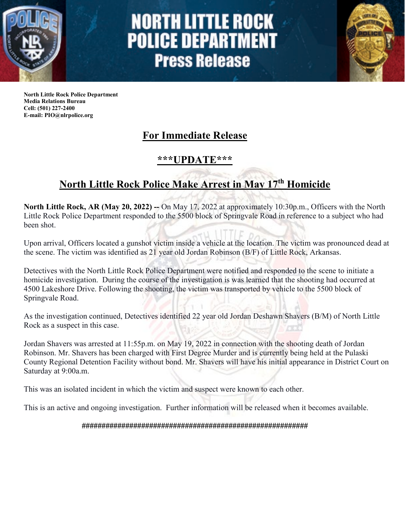

# **NORTH LITTLE ROCK POLICE DEPARTMENT Press Release**



**North Little Rock Police Department Media Relations Bureau Cell: (501) 227-2400 E-mail: PIO@nlrpolice.org**

# **For Immediate Release**

#### **\*\*\*UPDATE\*\*\***

# **North Little Rock Police Make Arrest in May 17th Homicide**

**North Little Rock, AR (May 20, 2022) --** On May 17, 2022 at approximately 10:30p.m., Officers with the North Little Rock Police Department responded to the 5500 block of Springvale Road in reference to a subject who had been shot.

Upon arrival, Officers located a gunshot victim inside a vehicle at the location. The victim was pronounced dead at the scene. The victim was identified as 21 year old Jordan Robinson (B/F) of Little Rock, Arkansas.

Detectives with the North Little Rock Police Department were notified and responded to the scene to initiate a homicide investigation. During the course of the investigation is was learned that the shooting had occurred at 4500 Lakeshore Drive. Following the shooting, the victim was transported by vehicle to the 5500 block of Springvale Road.

As the investigation continued, Detectives identified 22 year old Jordan Deshawn Shavers (B/M) of North Little Rock as a suspect in this case.

Jordan Shavers was arrested at 11:55p.m. on May 19, 2022 in connection with the shooting death of Jordan Robinson. Mr. Shavers has been charged with First Degree Murder and is currently being held at the Pulaski County Regional Detention Facility without bond. Mr. Shavers will have his initial appearance in District Court on Saturday at 9:00a.m.

This was an isolated incident in which the victim and suspect were known to each other.

This is an active and ongoing investigation. Further information will be released when it becomes available.

#### **#########################################################**